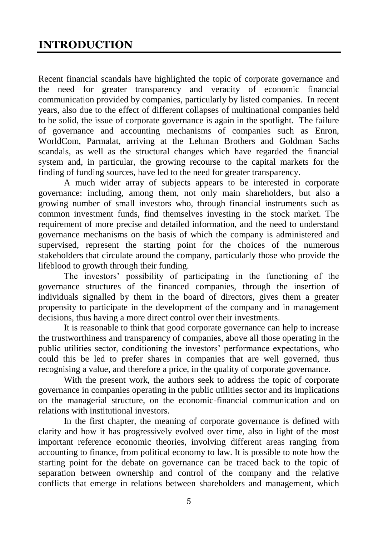## **INTRODUCTION**

Recent financial scandals have highlighted the topic of corporate governance and the need for greater transparency and veracity of economic financial communication provided by companies, particularly by listed companies. In recent years, also due to the effect of different collapses of multinational companies held to be solid, the issue of corporate governance is again in the spotlight. The failure of governance and accounting mechanisms of companies such as Enron, WorldCom, Parmalat, arriving at the Lehman Brothers and Goldman Sachs scandals, as well as the structural changes which have regarded the financial system and, in particular, the growing recourse to the capital markets for the finding of funding sources, have led to the need for greater transparency.

A much wider array of subjects appears to be interested in corporate governance: including, among them, not only main shareholders, but also a growing number of small investors who, through financial instruments such as common investment funds, find themselves investing in the stock market. The requirement of more precise and detailed information, and the need to understand governance mechanisms on the basis of which the company is administered and supervised, represent the starting point for the choices of the numerous stakeholders that circulate around the company, particularly those who provide the lifeblood to growth through their funding.

The investors' possibility of participating in the functioning of the governance structures of the financed companies, through the insertion of individuals signalled by them in the board of directors, gives them a greater propensity to participate in the development of the company and in management decisions, thus having a more direct control over their investments.

It is reasonable to think that good corporate governance can help to increase the trustworthiness and transparency of companies, above all those operating in the public utilities sector, conditioning the investors' performance expectations, who could this be led to prefer shares in companies that are well governed, thus recognising a value, and therefore a price, in the quality of corporate governance.

With the present work, the authors seek to address the topic of corporate governance in companies operating in the public utilities sector and its implications on the managerial structure, on the economic-financial communication and on relations with institutional investors.

In the first chapter, the meaning of corporate governance is defined with clarity and how it has progressively evolved over time, also in light of the most important reference economic theories, involving different areas ranging from accounting to finance, from political economy to law. It is possible to note how the starting point for the debate on governance can be traced back to the topic of separation between ownership and control of the company and the relative conflicts that emerge in relations between shareholders and management, which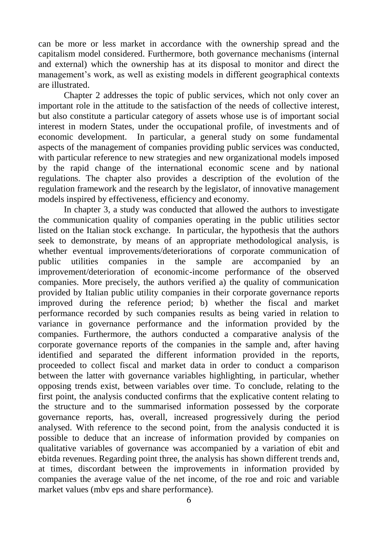can be more or less market in accordance with the ownership spread and the capitalism model considered. Furthermore, both governance mechanisms (internal and external) which the ownership has at its disposal to monitor and direct the management's work, as well as existing models in different geographical contexts are illustrated.

Chapter 2 addresses the topic of public services, which not only cover an important role in the attitude to the satisfaction of the needs of collective interest, but also constitute a particular category of assets whose use is of important social interest in modern States, under the occupational profile, of investments and of economic development. In particular, a general study on some fundamental aspects of the management of companies providing public services was conducted, with particular reference to new strategies and new organizational models imposed by the rapid change of the international economic scene and by national regulations. The chapter also provides a description of the evolution of the regulation framework and the research by the legislator, of innovative management models inspired by effectiveness, efficiency and economy.

In chapter 3, a study was conducted that allowed the authors to investigate the communication quality of companies operating in the public utilities sector listed on the Italian stock exchange. In particular, the hypothesis that the authors seek to demonstrate, by means of an appropriate methodological analysis, is whether eventual improvements/deteriorations of corporate communication of public utilities companies in the sample are accompanied by an improvement/deterioration of economic-income performance of the observed companies. More precisely, the authors verified a) the quality of communication provided by Italian public utility companies in their corporate governance reports improved during the reference period; b) whether the fiscal and market performance recorded by such companies results as being varied in relation to variance in governance performance and the information provided by the companies. Furthermore, the authors conducted a comparative analysis of the corporate governance reports of the companies in the sample and, after having identified and separated the different information provided in the reports, proceeded to collect fiscal and market data in order to conduct a comparison between the latter with governance variables highlighting, in particular, whether opposing trends exist, between variables over time. To conclude, relating to the first point, the analysis conducted confirms that the explicative content relating to the structure and to the summarised information possessed by the corporate governance reports, has, overall, increased progressively during the period analysed. With reference to the second point, from the analysis conducted it is possible to deduce that an increase of information provided by companies on qualitative variables of governance was accompanied by a variation of ebit and ebitda revenues. Regarding point three, the analysis has shown different trends and, at times, discordant between the improvements in information provided by companies the average value of the net income, of the roe and roic and variable market values (mby eps and share performance).